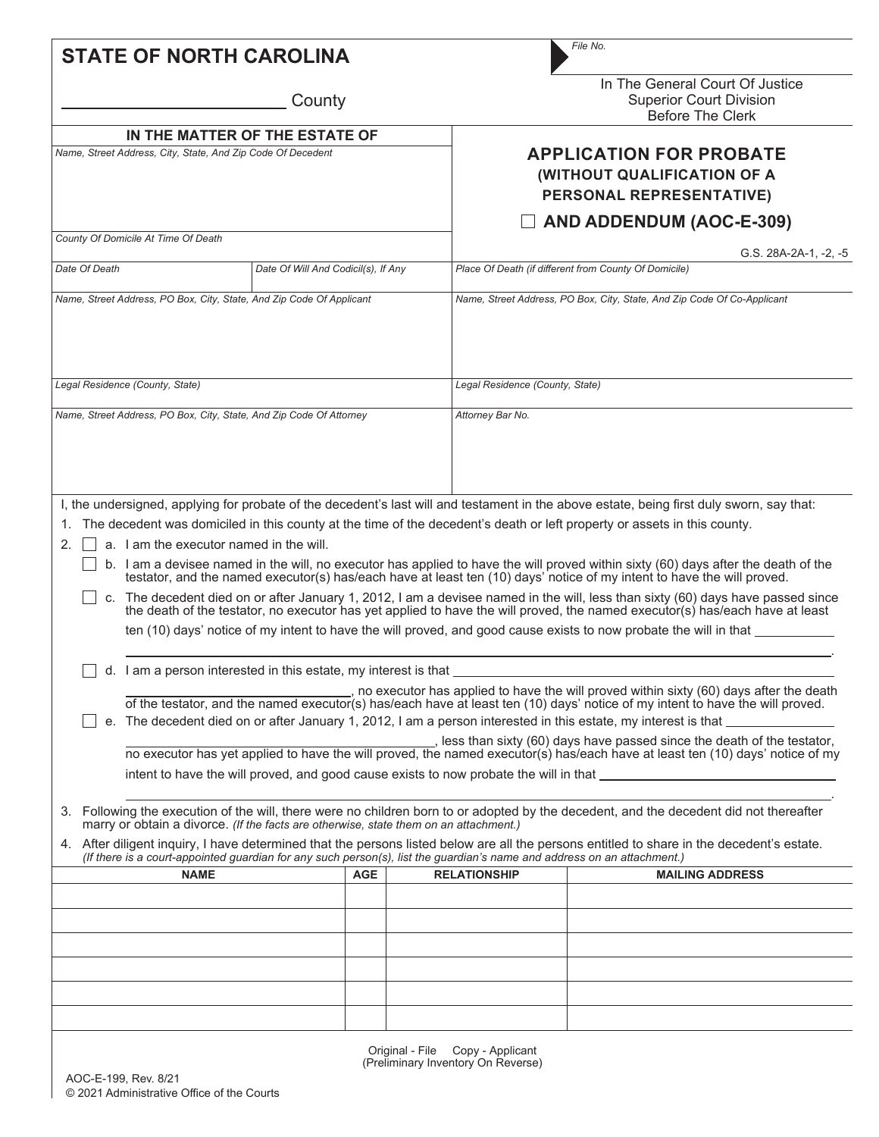| <b>STATE OF NORTH CAROLINA</b>                                                                                                                                                                                                                                                                                                                                                                                 |                                                                                                                                                                                                                  |                                                                                                                                                                                                                                                                                                     | File No.                                                                                                                                                                                                                                                                                                                                                                                                                                                                                                                                                                                                                                                                                                                                                 |  |  |  |  |
|----------------------------------------------------------------------------------------------------------------------------------------------------------------------------------------------------------------------------------------------------------------------------------------------------------------------------------------------------------------------------------------------------------------|------------------------------------------------------------------------------------------------------------------------------------------------------------------------------------------------------------------|-----------------------------------------------------------------------------------------------------------------------------------------------------------------------------------------------------------------------------------------------------------------------------------------------------|----------------------------------------------------------------------------------------------------------------------------------------------------------------------------------------------------------------------------------------------------------------------------------------------------------------------------------------------------------------------------------------------------------------------------------------------------------------------------------------------------------------------------------------------------------------------------------------------------------------------------------------------------------------------------------------------------------------------------------------------------------|--|--|--|--|
|                                                                                                                                                                                                                                                                                                                                                                                                                | County                                                                                                                                                                                                           |                                                                                                                                                                                                                                                                                                     | In The General Court Of Justice<br><b>Superior Court Division</b><br><b>Before The Clerk</b>                                                                                                                                                                                                                                                                                                                                                                                                                                                                                                                                                                                                                                                             |  |  |  |  |
| Name, Street Address, City, State, And Zip Code Of Decedent                                                                                                                                                                                                                                                                                                                                                    | IN THE MATTER OF THE ESTATE OF                                                                                                                                                                                   |                                                                                                                                                                                                                                                                                                     | <b>APPLICATION FOR PROBATE</b><br>(WITHOUT QUALIFICATION OF A<br>PERSONAL REPRESENTATIVE)                                                                                                                                                                                                                                                                                                                                                                                                                                                                                                                                                                                                                                                                |  |  |  |  |
| County Of Domicile At Time Of Death                                                                                                                                                                                                                                                                                                                                                                            |                                                                                                                                                                                                                  |                                                                                                                                                                                                                                                                                                     | AND ADDENDUM (AOC-E-309)                                                                                                                                                                                                                                                                                                                                                                                                                                                                                                                                                                                                                                                                                                                                 |  |  |  |  |
| Date Of Death                                                                                                                                                                                                                                                                                                                                                                                                  | Date Of Will And Codicil(s), If Any                                                                                                                                                                              |                                                                                                                                                                                                                                                                                                     | G.S. 28A-2A-1, -2, -5<br>Place Of Death (if different from County Of Domicile)                                                                                                                                                                                                                                                                                                                                                                                                                                                                                                                                                                                                                                                                           |  |  |  |  |
| Name, Street Address, PO Box, City, State, And Zip Code Of Applicant                                                                                                                                                                                                                                                                                                                                           |                                                                                                                                                                                                                  |                                                                                                                                                                                                                                                                                                     | Name, Street Address, PO Box, City, State, And Zip Code Of Co-Applicant                                                                                                                                                                                                                                                                                                                                                                                                                                                                                                                                                                                                                                                                                  |  |  |  |  |
| Legal Residence (County, State)                                                                                                                                                                                                                                                                                                                                                                                |                                                                                                                                                                                                                  |                                                                                                                                                                                                                                                                                                     | Legal Residence (County, State)                                                                                                                                                                                                                                                                                                                                                                                                                                                                                                                                                                                                                                                                                                                          |  |  |  |  |
| Name, Street Address, PO Box, City, State, And Zip Code Of Attorney                                                                                                                                                                                                                                                                                                                                            |                                                                                                                                                                                                                  | Attorney Bar No.                                                                                                                                                                                                                                                                                    |                                                                                                                                                                                                                                                                                                                                                                                                                                                                                                                                                                                                                                                                                                                                                          |  |  |  |  |
| a. I am the executor named in the will.<br>2.                                                                                                                                                                                                                                                                                                                                                                  |                                                                                                                                                                                                                  |                                                                                                                                                                                                                                                                                                     | The decedent was domiciled in this county at the time of the decedent's death or left property or assets in this county.<br>b. I am a devisee named in the will, no executor has applied to have the will proved within sixty (60) days after the death of the testator, and the named executor(s) has/each have at least ten (10) days' notice of my inte<br>c. The decedent died on or after January 1, 2012, I am a devisee named in the will, less than sixty (60) days have passed since<br>the death of the testator, no executor has yet applied to have the will proved, the named executor(s) has/each have at least<br>ten (10) days' notice of my intent to have the will proved, and good cause exists to now probate the will in that _____ |  |  |  |  |
| d. I am a person interested in this estate, my interest is that<br>, no executor has applied to have the will proved within sixty (60) days after the death<br>of the testator, and the named executor(s) has/each have at least ten (10) days' notice of my intent to have the will proved.<br>e. The decedent died on or after January 1, 2012, I am a person interested in this estate, my interest is that |                                                                                                                                                                                                                  |                                                                                                                                                                                                                                                                                                     |                                                                                                                                                                                                                                                                                                                                                                                                                                                                                                                                                                                                                                                                                                                                                          |  |  |  |  |
|                                                                                                                                                                                                                                                                                                                                                                                                                |                                                                                                                                                                                                                  | _, less than sixty (60) days have passed since the death of the testator,<br>no executor has yet applied to have the will proved, the named executor(s) has/each have at least ten (10) days' notice of my<br>intent to have the will proved, and good cause exists to now probate the will in that |                                                                                                                                                                                                                                                                                                                                                                                                                                                                                                                                                                                                                                                                                                                                                          |  |  |  |  |
|                                                                                                                                                                                                                                                                                                                                                                                                                | marry or obtain a divorce. (If the facts are otherwise, state them on an attachment.)<br>(If there is a court-appointed guardian for any such person(s), list the guardian's name and address on an attachment.) |                                                                                                                                                                                                                                                                                                     | 3. Following the execution of the will, there were no children born to or adopted by the decedent, and the decedent did not thereafter<br>4. After diligent inquiry, I have determined that the persons listed below are all the persons entitled to share in the decedent's estate.                                                                                                                                                                                                                                                                                                                                                                                                                                                                     |  |  |  |  |
| <b>NAME</b>                                                                                                                                                                                                                                                                                                                                                                                                    | <b>AGE</b>                                                                                                                                                                                                       | <b>RELATIONSHIP</b>                                                                                                                                                                                                                                                                                 | <b>MAILING ADDRESS</b>                                                                                                                                                                                                                                                                                                                                                                                                                                                                                                                                                                                                                                                                                                                                   |  |  |  |  |
|                                                                                                                                                                                                                                                                                                                                                                                                                |                                                                                                                                                                                                                  |                                                                                                                                                                                                                                                                                                     |                                                                                                                                                                                                                                                                                                                                                                                                                                                                                                                                                                                                                                                                                                                                                          |  |  |  |  |
|                                                                                                                                                                                                                                                                                                                                                                                                                |                                                                                                                                                                                                                  |                                                                                                                                                                                                                                                                                                     |                                                                                                                                                                                                                                                                                                                                                                                                                                                                                                                                                                                                                                                                                                                                                          |  |  |  |  |
|                                                                                                                                                                                                                                                                                                                                                                                                                |                                                                                                                                                                                                                  |                                                                                                                                                                                                                                                                                                     |                                                                                                                                                                                                                                                                                                                                                                                                                                                                                                                                                                                                                                                                                                                                                          |  |  |  |  |
|                                                                                                                                                                                                                                                                                                                                                                                                                |                                                                                                                                                                                                                  |                                                                                                                                                                                                                                                                                                     |                                                                                                                                                                                                                                                                                                                                                                                                                                                                                                                                                                                                                                                                                                                                                          |  |  |  |  |
|                                                                                                                                                                                                                                                                                                                                                                                                                |                                                                                                                                                                                                                  |                                                                                                                                                                                                                                                                                                     |                                                                                                                                                                                                                                                                                                                                                                                                                                                                                                                                                                                                                                                                                                                                                          |  |  |  |  |
|                                                                                                                                                                                                                                                                                                                                                                                                                |                                                                                                                                                                                                                  | Original - File Copy - Applicant                                                                                                                                                                                                                                                                    |                                                                                                                                                                                                                                                                                                                                                                                                                                                                                                                                                                                                                                                                                                                                                          |  |  |  |  |

Original - File Copy - Applicant (Preliminary Inventory On Reverse)